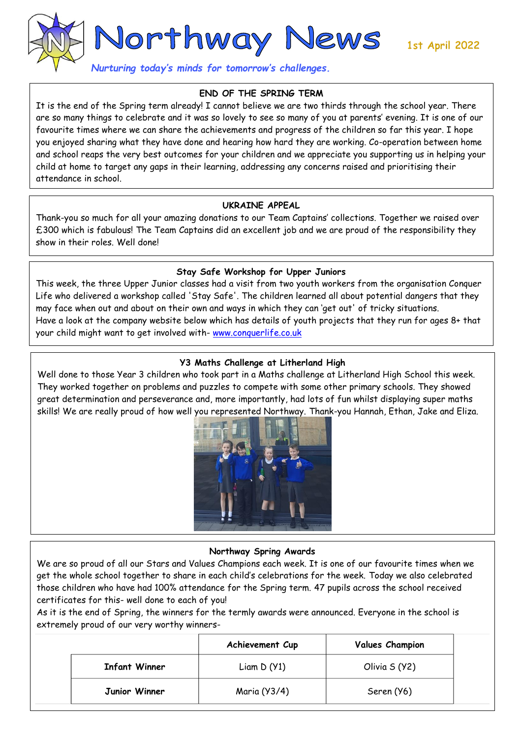1st April 2022



*Nurturing today's minds for tomorrow's challenges.* 

# **END OF THE SPRING TERM**

It is the end of the Spring term already! I cannot believe we are two thirds through the school year. There are so many things to celebrate and it was so lovely to see so many of you at parents' evening. It is one of our favourite times where we can share the achievements and progress of the children so far this year. I hope you enjoyed sharing what they have done and hearing how hard they are working. Co-operation between home and school reaps the very best outcomes for your children and we appreciate you supporting us in helping your child at home to target any gaps in their learning, addressing any concerns raised and prioritising their attendance in school.

### **UKRAINE APPEAL**

Thank-you so much for all your amazing donations to our Team Captains' collections. Together we raised over £300 which is fabulous! The Team Captains did an excellent job and we are proud of the responsibility they show in their roles. Well done!

### **Stay Safe Workshop for Upper Juniors**

This week, the three Upper Junior classes had a visit from two youth workers from the organisation Conquer Life who delivered a workshop called 'Stay Safe'. The children learned all about potential dangers that they may face when out and about on their own and ways in which they can 'get out' of tricky situations. Have a look at the company website below which has details of youth projects that they run for ages 8+ that your child might want to get involved with- [www.conquerlife.co.uk](http://www.conquerlife.co.uk/)

# **Y3 Maths Challenge at Litherland High**

Well done to those Year 3 children who took part in a Maths challenge at Litherland High School this week. They worked together on problems and puzzles to compete with some other primary schools. They showed great determination and perseverance and, more importantly, had lots of fun whilst displaying super maths skills! We are really proud of how well you represented Northway. Thank-you Hannah, Ethan, Jake and Eliza.



### **Northway Spring Awards**

 $\overline{a}$ 

We are so proud of all our Stars and Values Champions each week. It is one of our favourite times when we get the whole school together to share in each child's celebrations for the week. Today we also celebrated those children who have had 100% attendance for the Spring term. 47 pupils across the school received certificates for this- well done to each of you!

As it is the end of Spring, the winners for the termly awards were announced. Everyone in the school is extremely proud of our very worthy winners-

|                      | Achievement Cup | <b>Values Champion</b> |
|----------------------|-----------------|------------------------|
| <b>Infant Winner</b> | Liam $D(Y1)$    | Olivia S (Y2)          |
| Junior Winner        | Maria (Y3/4)    | Seren (Y6)             |